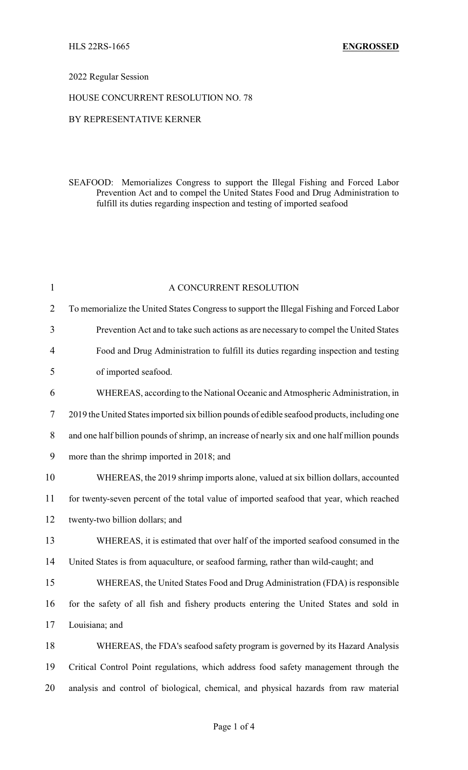## 2022 Regular Session

## HOUSE CONCURRENT RESOLUTION NO. 78

## BY REPRESENTATIVE KERNER

SEAFOOD: Memorializes Congress to support the Illegal Fishing and Forced Labor Prevention Act and to compel the United States Food and Drug Administration to fulfill its duties regarding inspection and testing of imported seafood

| $\mathbf{1}$   | A CONCURRENT RESOLUTION                                                                      |
|----------------|----------------------------------------------------------------------------------------------|
| $\overline{2}$ | To memorialize the United States Congress to support the Illegal Fishing and Forced Labor    |
| 3              | Prevention Act and to take such actions as are necessary to compel the United States         |
| $\overline{4}$ | Food and Drug Administration to fulfill its duties regarding inspection and testing          |
| 5              | of imported seafood.                                                                         |
| 6              | WHEREAS, according to the National Oceanic and Atmospheric Administration, in                |
| 7              | 2019 the United States imported six billion pounds of edible seafood products, including one |
| $8\,$          | and one half billion pounds of shrimp, an increase of nearly six and one half million pounds |
| 9              | more than the shrimp imported in 2018; and                                                   |
| 10             | WHEREAS, the 2019 shrimp imports alone, valued at six billion dollars, accounted             |
| 11             | for twenty-seven percent of the total value of imported seafood that year, which reached     |
| 12             | twenty-two billion dollars; and                                                              |
| 13             | WHEREAS, it is estimated that over half of the imported seafood consumed in the              |
| 14             | United States is from aquaculture, or seafood farming, rather than wild-caught; and          |
| 15             | WHEREAS, the United States Food and Drug Administration (FDA) is responsible                 |
| 16             | for the safety of all fish and fishery products entering the United States and sold in       |
| 17             | Louisiana; and                                                                               |
| 18             | WHEREAS, the FDA's seafood safety program is governed by its Hazard Analysis                 |
| 19             | Critical Control Point regulations, which address food safety management through the         |
| 20             | analysis and control of biological, chemical, and physical hazards from raw material         |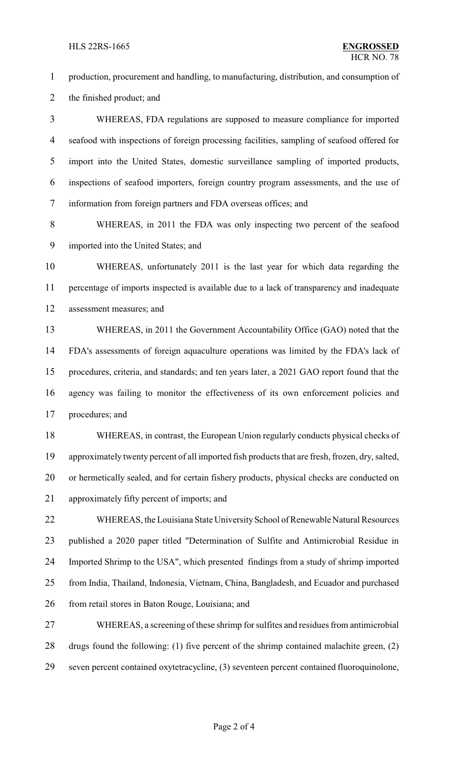production, procurement and handling, to manufacturing, distribution, and consumption of the finished product; and WHEREAS, FDA regulations are supposed to measure compliance for imported seafood with inspections of foreign processing facilities, sampling of seafood offered for import into the United States, domestic surveillance sampling of imported products, inspections of seafood importers, foreign country program assessments, and the use of information from foreign partners and FDA overseas offices; and WHEREAS, in 2011 the FDA was only inspecting two percent of the seafood imported into the United States; and WHEREAS, unfortunately 2011 is the last year for which data regarding the percentage of imports inspected is available due to a lack of transparency and inadequate assessment measures; and WHEREAS, in 2011 the Government Accountability Office (GAO) noted that the FDA's assessments of foreign aquaculture operations was limited by the FDA's lack of procedures, criteria, and standards; and ten years later, a 2021 GAO report found that the agency was failing to monitor the effectiveness of its own enforcement policies and procedures; and WHEREAS, in contrast, the European Union regularly conducts physical checks of approximately twenty percent of all imported fish products that are fresh, frozen, dry, salted, or hermetically sealed, and for certain fishery products, physical checks are conducted on approximately fifty percent of imports; and 22 WHEREAS, the Louisiana State University School of Renewable Natural Resources published a 2020 paper titled "Determination of Sulfite and Antimicrobial Residue in Imported Shrimp to the USA", which presented findings from a study of shrimp imported from India, Thailand, Indonesia, Vietnam, China, Bangladesh, and Ecuador and purchased 26 from retail stores in Baton Rouge, Louisiana; and WHEREAS, a screening of these shrimp for sulfites and residues from antimicrobial drugs found the following: (1) five percent of the shrimp contained malachite green, (2) seven percent contained oxytetracycline, (3) seventeen percent contained fluoroquinolone,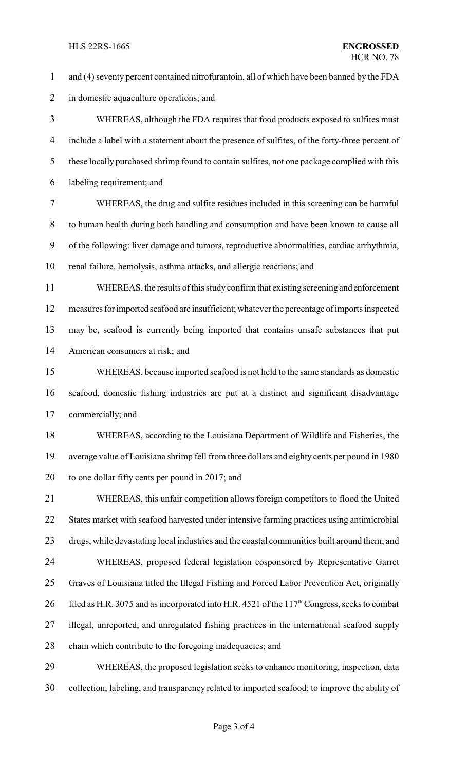and (4) seventy percent contained nitrofurantoin, all of which have been banned by the FDA in domestic aquaculture operations; and WHEREAS, although the FDA requires that food products exposed to sulfites must include a label with a statement about the presence of sulfites, of the forty-three percent of these locally purchased shrimp found to contain sulfites, not one package complied with this labeling requirement; and WHEREAS, the drug and sulfite residues included in this screening can be harmful to human health during both handling and consumption and have been known to cause all of the following: liver damage and tumors, reproductive abnormalities, cardiac arrhythmia, renal failure, hemolysis, asthma attacks, and allergic reactions; and WHEREAS, the results of this studyconfirm that existing screeningand enforcement measures for imported seafood are insufficient; whatever the percentage of imports inspected may be, seafood is currently being imported that contains unsafe substances that put American consumers at risk; and WHEREAS, because imported seafood is not held to the same standards as domestic seafood, domestic fishing industries are put at a distinct and significant disadvantage commercially; and WHEREAS, according to the Louisiana Department of Wildlife and Fisheries, the average value of Louisiana shrimp fell from three dollars and eighty cents per pound in 1980 to one dollar fifty cents per pound in 2017; and WHEREAS, this unfair competition allows foreign competitors to flood the United States market with seafood harvested under intensive farming practices using antimicrobial drugs, while devastating local industries and the coastal communities built around them; and WHEREAS, proposed federal legislation cosponsored by Representative Garret Graves of Louisiana titled the Illegal Fishing and Forced Labor Prevention Act, originally 26 filed as H.R. 3075 and as incorporated into H.R. 4521 of the 117<sup>th</sup> Congress, seeks to combat illegal, unreported, and unregulated fishing practices in the international seafood supply chain which contribute to the foregoing inadequacies; and WHEREAS, the proposed legislation seeks to enhance monitoring, inspection, data

collection, labeling, and transparency related to imported seafood; to improve the ability of